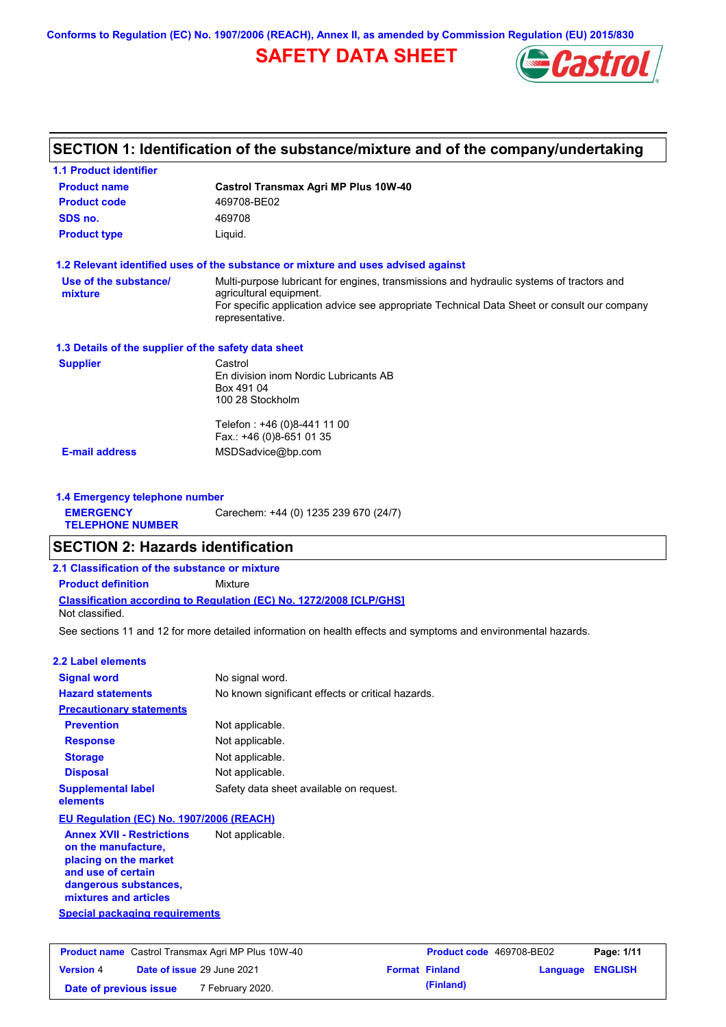**Conforms to Regulation (EC) No. 1907/2006 (REACH), Annex II, as amended by Commission Regulation (EU) 2015/830**

# **SAFETY DATA SHEET**



# **SECTION 1: Identification of the substance/mixture and of the company/undertaking**

| <b>1.1 Product identifier</b>                        |                                                                                                                                                                                                                                       |
|------------------------------------------------------|---------------------------------------------------------------------------------------------------------------------------------------------------------------------------------------------------------------------------------------|
| <b>Product name</b>                                  | <b>Castrol Transmax Agri MP Plus 10W-40</b>                                                                                                                                                                                           |
| <b>Product code</b>                                  | 469708-BE02                                                                                                                                                                                                                           |
| SDS no.                                              | 469708                                                                                                                                                                                                                                |
| <b>Product type</b>                                  | Liquid.                                                                                                                                                                                                                               |
|                                                      | 1.2 Relevant identified uses of the substance or mixture and uses advised against                                                                                                                                                     |
| Use of the substance/<br>mixture                     | Multi-purpose lubricant for engines, transmissions and hydraulic systems of tractors and<br>agricultural equipment.<br>For specific application advice see appropriate Technical Data Sheet or consult our company<br>representative. |
| 1.3 Details of the supplier of the safety data sheet |                                                                                                                                                                                                                                       |
| <b>Supplier</b>                                      | Castrol<br>En division inom Nordic Lubricants AB<br>Box 491 04<br>100 28 Stockholm                                                                                                                                                    |
|                                                      | Telefon: +46 (0)8-441 11 00<br>Fax.: +46 (0)8-651 01 35                                                                                                                                                                               |
| <b>E-mail address</b>                                | MSDSadvice@bp.com                                                                                                                                                                                                                     |
| 1.4 Emergency telephone number                       |                                                                                                                                                                                                                                       |
| <b>EMERGENCY</b><br><b>TELEPHONE NUMBER</b>          | Carechem: +44 (0) 1235 239 670 (24/7)                                                                                                                                                                                                 |
| <b>SECTION 2: Hazards identification</b>             |                                                                                                                                                                                                                                       |
| 2.1 Classification of the substance or mixture       |                                                                                                                                                                                                                                       |
| <b>Product definition</b>                            | Mixture                                                                                                                                                                                                                               |
| Not classified.                                      | <b>Classification according to Regulation (EC) No. 1272/2008 [CLP/GHS]</b>                                                                                                                                                            |
|                                                      | See sections 11 and 12 for more detailed information on health effects and symptoms and environmental hazards.                                                                                                                        |
| 2.2 Label elements                                   |                                                                                                                                                                                                                                       |
|                                                      |                                                                                                                                                                                                                                       |

| <b>Signal word</b>                       | No signal word.                                   |
|------------------------------------------|---------------------------------------------------|
| <b>Hazard statements</b>                 | No known significant effects or critical hazards. |
| <b>Precautionary statements</b>          |                                                   |
| <b>Prevention</b>                        | Not applicable.                                   |
| <b>Response</b>                          | Not applicable.                                   |
| <b>Storage</b>                           | Not applicable.                                   |
| <b>Disposal</b>                          | Not applicable.                                   |
| <b>Supplemental label</b><br>elements    | Safety data sheet available on request.           |
| EU Regulation (EC) No. 1907/2006 (REACH) |                                                   |

**Annex XVII - Restrictions on the manufacture, placing on the market and use of certain dangerous substances, mixtures and articles** Not applicable.

**Special packaging requirements**

| <b>Product name</b> Castrol Transmax Agri MP Plus 10W-40 |  |                                   | Product code 469708-BE02 |                       | Page: 1/11              |  |
|----------------------------------------------------------|--|-----------------------------------|--------------------------|-----------------------|-------------------------|--|
| <b>Version 4</b>                                         |  | <b>Date of issue 29 June 2021</b> |                          | <b>Format Finland</b> | <b>Language ENGLISH</b> |  |
| Date of previous issue                                   |  | <sup>7</sup> February 2020.       |                          | (Finland)             |                         |  |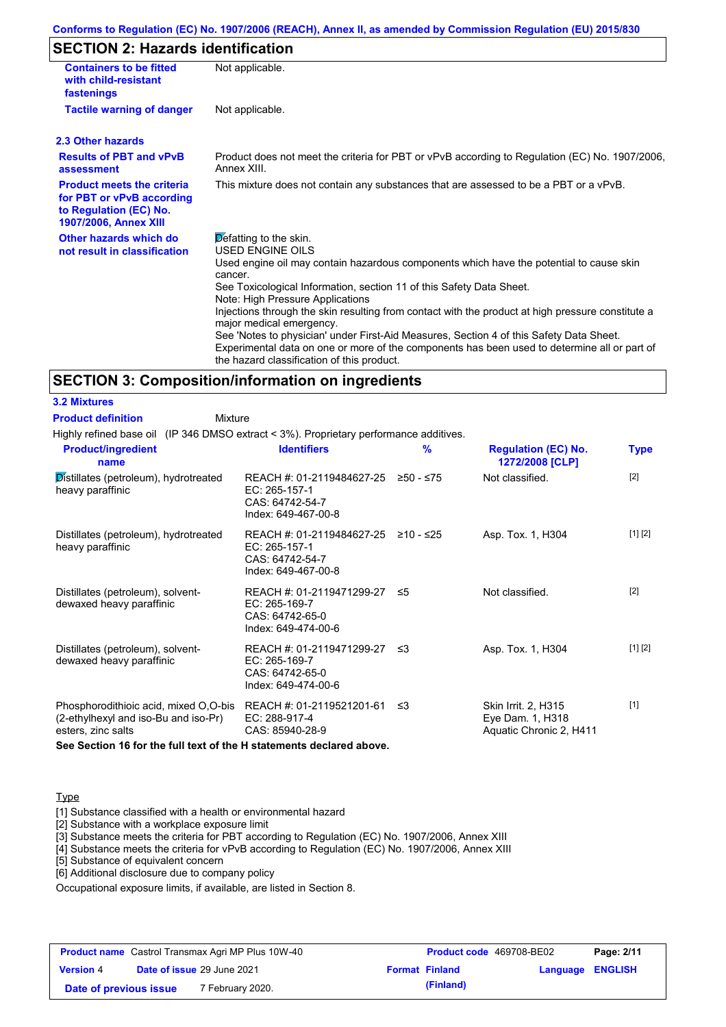# **SECTION 2: Hazards identification**

| <b>Containers to be fitted</b><br>with child-resistant<br>fastenings                                              | Not applicable.                                                                                                                                                                                                                                                                                                                                                                                                                                                                                                                                                                                                                               |
|-------------------------------------------------------------------------------------------------------------------|-----------------------------------------------------------------------------------------------------------------------------------------------------------------------------------------------------------------------------------------------------------------------------------------------------------------------------------------------------------------------------------------------------------------------------------------------------------------------------------------------------------------------------------------------------------------------------------------------------------------------------------------------|
| <b>Tactile warning of danger</b>                                                                                  | Not applicable.                                                                                                                                                                                                                                                                                                                                                                                                                                                                                                                                                                                                                               |
| 2.3 Other hazards                                                                                                 |                                                                                                                                                                                                                                                                                                                                                                                                                                                                                                                                                                                                                                               |
| <b>Results of PBT and vPvB</b><br>assessment                                                                      | Product does not meet the criteria for PBT or vPvB according to Regulation (EC) No. 1907/2006,<br>Annex XIII                                                                                                                                                                                                                                                                                                                                                                                                                                                                                                                                  |
| <b>Product meets the criteria</b><br>for PBT or vPvB according<br>to Regulation (EC) No.<br>1907/2006, Annex XIII | This mixture does not contain any substances that are assessed to be a PBT or a vPvB.                                                                                                                                                                                                                                                                                                                                                                                                                                                                                                                                                         |
| Other hazards which do<br>not result in classification                                                            | Defatting to the skin.<br><b>USED ENGINE OILS</b><br>Used engine oil may contain hazardous components which have the potential to cause skin<br>cancer.<br>See Toxicological Information, section 11 of this Safety Data Sheet.<br>Note: High Pressure Applications<br>Injections through the skin resulting from contact with the product at high pressure constitute a<br>major medical emergency.<br>See 'Notes to physician' under First-Aid Measures, Section 4 of this Safety Data Sheet.<br>Experimental data on one or more of the components has been used to determine all or part of<br>the hazard classification of this product. |

### **SECTION 3: Composition/information on ingredients**

**3.2 Mixtures Product definition**

**Mixture** 

Highly refined base oil (IP 346 DMSO extract < 3%). Proprietary performance additives.

| <b>Product/ingredient</b><br>name                                                                   | <b>Identifiers</b>                                                                             | $\frac{9}{6}$ | <b>Regulation (EC) No.</b><br>1272/2008 [CLP]                      | <b>Type</b> |
|-----------------------------------------------------------------------------------------------------|------------------------------------------------------------------------------------------------|---------------|--------------------------------------------------------------------|-------------|
| Distillates (petroleum), hydrotreated<br>heavy paraffinic                                           | REACH #: 01-2119484627-25<br>EC: 265-157-1<br>CAS: 64742-54-7<br>Index: 649-467-00-8           | $≥50 - ≤75$   | Not classified.                                                    | $[2]$       |
| Distillates (petroleum), hydrotreated<br>heavy paraffinic                                           | REACH #: 01-2119484627-25 ≥10 - ≤25<br>EC: 265-157-1<br>CAS: 64742-54-7<br>Index: 649-467-00-8 |               | Asp. Tox. 1, H304                                                  | [1] [2]     |
| Distillates (petroleum), solvent-<br>dewaxed heavy paraffinic                                       | REACH #: 01-2119471299-27 ≤5<br>EC: 265-169-7<br>CAS: 64742-65-0<br>Index: 649-474-00-6        |               | Not classified.                                                    | $[2]$       |
| Distillates (petroleum), solvent-<br>dewaxed heavy paraffinic                                       | REACH #: 01-2119471299-27 ≤3<br>EC: 265-169-7<br>CAS: 64742-65-0<br>Index: 649-474-00-6        |               | Asp. Tox. 1, H304                                                  | [1] [2]     |
| Phosphorodithioic acid, mixed O,O-bis<br>(2-ethylhexyl and iso-Bu and iso-Pr)<br>esters, zinc salts | REACH #: 01-2119521201-61<br>EC: 288-917-4<br>CAS: 85940-28-9                                  | -≤3           | Skin Irrit. 2, H315<br>Eye Dam. 1, H318<br>Aquatic Chronic 2, H411 | $[1]$       |

**See Section 16 for the full text of the H statements declared above.**

#### **Type**

[1] Substance classified with a health or environmental hazard

[2] Substance with a workplace exposure limit

[3] Substance meets the criteria for PBT according to Regulation (EC) No. 1907/2006, Annex XIII

[4] Substance meets the criteria for vPvB according to Regulation (EC) No. 1907/2006, Annex XIII

[5] Substance of equivalent concern

[6] Additional disclosure due to company policy

Occupational exposure limits, if available, are listed in Section 8.

| <b>Product name</b> Castrol Transmax Agri MP Plus 10W-40 |  |                            | <b>Product code</b> 469708-BE02 |                       | Page: 2/11              |  |
|----------------------------------------------------------|--|----------------------------|---------------------------------|-----------------------|-------------------------|--|
| <b>Version 4</b>                                         |  | Date of issue 29 June 2021 |                                 | <b>Format Finland</b> | <b>Language ENGLISH</b> |  |
| Date of previous issue                                   |  | 7 February 2020.           |                                 | (Finland)             |                         |  |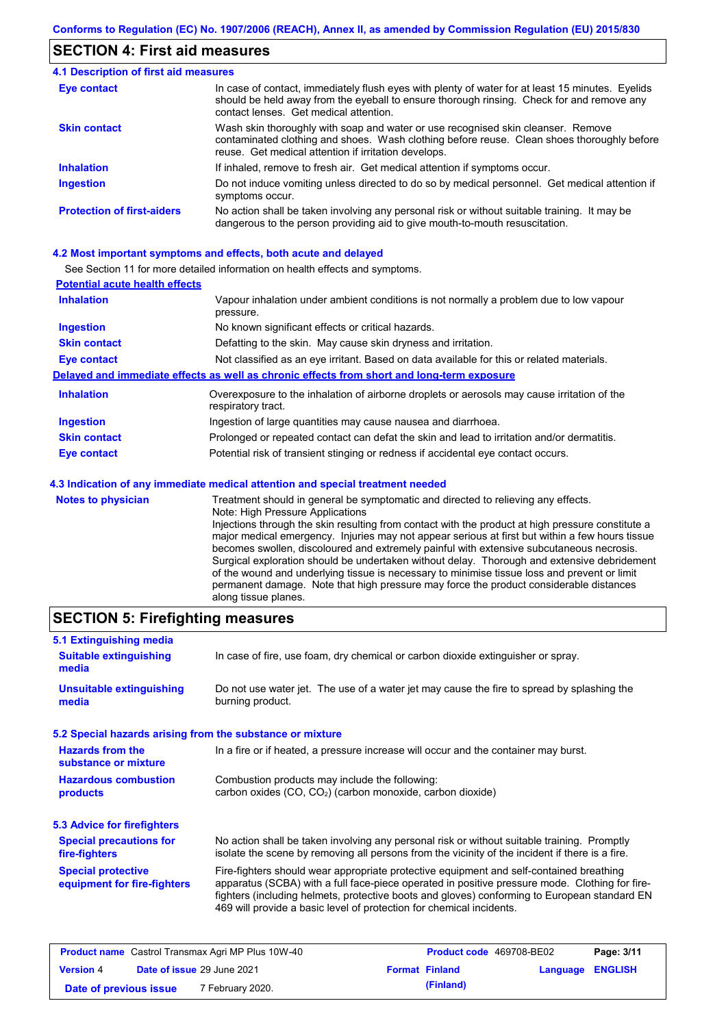### **SECTION 4: First aid measures**

#### Do not induce vomiting unless directed to do so by medical personnel. Get medical attention if symptoms occur. In case of contact, immediately flush eyes with plenty of water for at least 15 minutes. Eyelids should be held away from the eyeball to ensure thorough rinsing. Check for and remove any contact lenses. Get medical attention. **4.1 Description of first aid measures** If inhaled, remove to fresh air. Get medical attention if symptoms occur. **Ingestion Inhalation Eye contact Protection of first-aiders** No action shall be taken involving any personal risk or without suitable training. It may be dangerous to the person providing aid to give mouth-to-mouth resuscitation. **Skin contact** Wash skin thoroughly with soap and water or use recognised skin cleanser. Remove contaminated clothing and shoes. Wash clothing before reuse. Clean shoes thoroughly before reuse. Get medical attention if irritation develops.

#### **4.2 Most important symptoms and effects, both acute and delayed**

See Section 11 for more detailed information on health effects and symptoms.

| <b>Potential acute health effects</b> |                                                                                                                   |
|---------------------------------------|-------------------------------------------------------------------------------------------------------------------|
| <b>Inhalation</b>                     | Vapour inhalation under ambient conditions is not normally a problem due to low vapour<br>pressure.               |
| <b>Ingestion</b>                      | No known significant effects or critical hazards.                                                                 |
| <b>Skin contact</b>                   | Defatting to the skin. May cause skin dryness and irritation.                                                     |
| <b>Eye contact</b>                    | Not classified as an eye irritant. Based on data available for this or related materials.                         |
|                                       | Delayed and immediate effects as well as chronic effects from short and long-term exposure                        |
| <b>Inhalation</b>                     | Overexposure to the inhalation of airborne droplets or aerosols may cause irritation of the<br>respiratory tract. |
| <b>Ingestion</b>                      | Ingestion of large quantities may cause nausea and diarrhoea.                                                     |
| <b>Skin contact</b>                   | Prolonged or repeated contact can defat the skin and lead to irritation and/or dermatitis.                        |
| Eye contact                           | Potential risk of transient stinging or redness if accidental eye contact occurs.                                 |
|                                       | 4.3 Indication of any immediate medical attention and special treatment needed                                    |
| Notes to physician                    | Treatment should in general he symptomatic and directed to relieving any effects                                  |

| <b>Notes to physician</b> | Treatment should in general be symptomatic and directed to relieving any effects.                 |
|---------------------------|---------------------------------------------------------------------------------------------------|
|                           | Note: High Pressure Applications                                                                  |
|                           | Injections through the skin resulting from contact with the product at high pressure constitute a |
|                           | major medical emergency. Injuries may not appear serious at first but within a few hours tissue   |
|                           | becomes swollen, discoloured and extremely painful with extensive subcutaneous necrosis.          |
|                           | Surgical exploration should be undertaken without delay. Thorough and extensive debridement       |
|                           | of the wound and underlying tissue is necessary to minimise tissue loss and prevent or limit      |
|                           | permanent damage. Note that high pressure may force the product considerable distances            |
|                           | along tissue planes.                                                                              |

### **SECTION 5: Firefighting measures**

| 5.1 Extinguishing media                                                                                                    |                                                                                                                                                                                                                                                                                                                                                                   |  |
|----------------------------------------------------------------------------------------------------------------------------|-------------------------------------------------------------------------------------------------------------------------------------------------------------------------------------------------------------------------------------------------------------------------------------------------------------------------------------------------------------------|--|
| In case of fire, use foam, dry chemical or carbon dioxide extinguisher or spray.<br><b>Suitable extinguishing</b><br>media |                                                                                                                                                                                                                                                                                                                                                                   |  |
| <b>Unsuitable extinguishing</b><br>media                                                                                   | Do not use water jet. The use of a water jet may cause the fire to spread by splashing the<br>burning product.                                                                                                                                                                                                                                                    |  |
| 5.2 Special hazards arising from the substance or mixture                                                                  |                                                                                                                                                                                                                                                                                                                                                                   |  |
| <b>Hazards from the</b><br>substance or mixture                                                                            | In a fire or if heated, a pressure increase will occur and the container may burst.                                                                                                                                                                                                                                                                               |  |
| <b>Hazardous combustion</b><br>products                                                                                    | Combustion products may include the following:<br>carbon oxides (CO, CO <sub>2</sub> ) (carbon monoxide, carbon dioxide)                                                                                                                                                                                                                                          |  |
| 5.3 Advice for firefighters                                                                                                |                                                                                                                                                                                                                                                                                                                                                                   |  |
| <b>Special precautions for</b><br>fire-fighters                                                                            | No action shall be taken involving any personal risk or without suitable training. Promptly<br>isolate the scene by removing all persons from the vicinity of the incident if there is a fire.                                                                                                                                                                    |  |
| <b>Special protective</b><br>equipment for fire-fighters                                                                   | Fire-fighters should wear appropriate protective equipment and self-contained breathing<br>apparatus (SCBA) with a full face-piece operated in positive pressure mode. Clothing for fire-<br>fighters (including helmets, protective boots and gloves) conforming to European standard EN<br>469 will provide a basic level of protection for chemical incidents. |  |

| <b>Product name</b> Castrol Transmax Agri MP Plus 10W-40 |  |                             | <b>Product code</b> 469708-BE02 |                       | Page: 3/11       |  |
|----------------------------------------------------------|--|-----------------------------|---------------------------------|-----------------------|------------------|--|
| <b>Version 4</b>                                         |  | Date of issue 29 June 2021  |                                 | <b>Format Finland</b> | Language ENGLISH |  |
| Date of previous issue                                   |  | <sup>7</sup> February 2020. |                                 | (Finland)             |                  |  |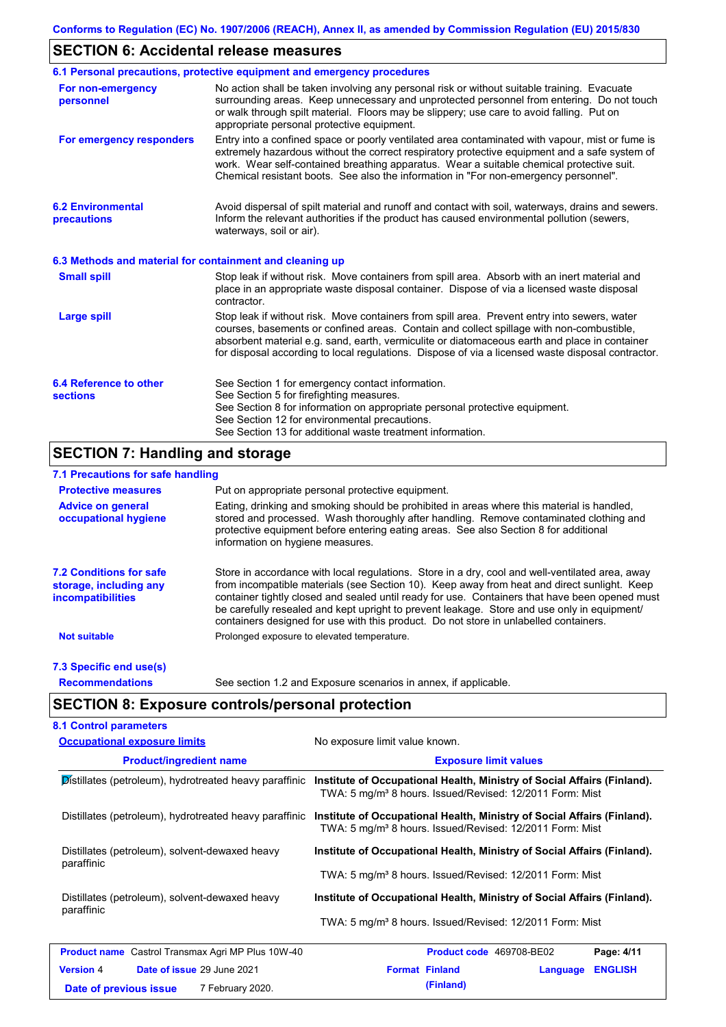# **SECTION 6: Accidental release measures**

|                                                          | 6.1 Personal precautions, protective equipment and emergency procedures                                                                                                                                                                                                                                                                                                                        |  |  |  |  |
|----------------------------------------------------------|------------------------------------------------------------------------------------------------------------------------------------------------------------------------------------------------------------------------------------------------------------------------------------------------------------------------------------------------------------------------------------------------|--|--|--|--|
| For non-emergency<br>personnel                           | No action shall be taken involving any personal risk or without suitable training. Evacuate<br>surrounding areas. Keep unnecessary and unprotected personnel from entering. Do not touch<br>or walk through spilt material. Floors may be slippery; use care to avoid falling. Put on<br>appropriate personal protective equipment.                                                            |  |  |  |  |
| For emergency responders                                 | Entry into a confined space or poorly ventilated area contaminated with vapour, mist or fume is<br>extremely hazardous without the correct respiratory protective equipment and a safe system of<br>work. Wear self-contained breathing apparatus. Wear a suitable chemical protective suit.<br>Chemical resistant boots. See also the information in "For non-emergency personnel".           |  |  |  |  |
| <b>6.2 Environmental</b><br>precautions                  | Avoid dispersal of spilt material and runoff and contact with soil, waterways, drains and sewers.<br>Inform the relevant authorities if the product has caused environmental pollution (sewers,<br>waterways, soil or air).                                                                                                                                                                    |  |  |  |  |
| 6.3 Methods and material for containment and cleaning up |                                                                                                                                                                                                                                                                                                                                                                                                |  |  |  |  |
| <b>Small spill</b>                                       | Stop leak if without risk. Move containers from spill area. Absorb with an inert material and<br>place in an appropriate waste disposal container. Dispose of via a licensed waste disposal<br>contractor.                                                                                                                                                                                     |  |  |  |  |
| <b>Large spill</b>                                       | Stop leak if without risk. Move containers from spill area. Prevent entry into sewers, water<br>courses, basements or confined areas. Contain and collect spillage with non-combustible,<br>absorbent material e.g. sand, earth, vermiculite or diatomaceous earth and place in container<br>for disposal according to local regulations. Dispose of via a licensed waste disposal contractor. |  |  |  |  |
| 6.4 Reference to other<br><b>sections</b>                | See Section 1 for emergency contact information.<br>See Section 5 for firefighting measures.<br>See Section 8 for information on appropriate personal protective equipment.<br>See Section 12 for environmental precautions.<br>See Section 13 for additional waste treatment information.                                                                                                     |  |  |  |  |

# **SECTION 7: Handling and storage**

### **7.1 Precautions for safe handling**

| <b>Protective measures</b>                                                           | Put on appropriate personal protective equipment.                                                                                                                                                                                                                                                                                                                                                                                                                                        |
|--------------------------------------------------------------------------------------|------------------------------------------------------------------------------------------------------------------------------------------------------------------------------------------------------------------------------------------------------------------------------------------------------------------------------------------------------------------------------------------------------------------------------------------------------------------------------------------|
| <b>Advice on general</b><br>occupational hygiene                                     | Eating, drinking and smoking should be prohibited in areas where this material is handled,<br>stored and processed. Wash thoroughly after handling. Remove contaminated clothing and<br>protective equipment before entering eating areas. See also Section 8 for additional<br>information on hygiene measures.                                                                                                                                                                         |
| <b>7.2 Conditions for safe</b><br>storage, including any<br><i>incompatibilities</i> | Store in accordance with local requiations. Store in a dry, cool and well-ventilated area, away<br>from incompatible materials (see Section 10). Keep away from heat and direct sunlight. Keep<br>container tightly closed and sealed until ready for use. Containers that have been opened must<br>be carefully resealed and kept upright to prevent leakage. Store and use only in equipment/<br>containers designed for use with this product. Do not store in unlabelled containers. |
| <b>Not suitable</b>                                                                  | Prolonged exposure to elevated temperature.                                                                                                                                                                                                                                                                                                                                                                                                                                              |
| 7.3 Specific end use(s)                                                              |                                                                                                                                                                                                                                                                                                                                                                                                                                                                                          |
| <b>Recommendations</b>                                                               | See section 1.2 and Exposure scenarios in annex, if applicable.                                                                                                                                                                                                                                                                                                                                                                                                                          |

# **SECTION 8: Exposure controls/personal protection**

| <b>Occupational exposure limits</b>                          | No exposure limit value known.<br><b>Exposure limit values</b>                                                                                  |  |  |  |
|--------------------------------------------------------------|-------------------------------------------------------------------------------------------------------------------------------------------------|--|--|--|
| <b>Product/ingredient name</b>                               |                                                                                                                                                 |  |  |  |
| Distillates (petroleum), hydrotreated heavy paraffinic       | Institute of Occupational Health, Ministry of Social Affairs (Finland).<br>TWA: 5 mg/m <sup>3</sup> 8 hours. Issued/Revised: 12/2011 Form: Mist |  |  |  |
| Distillates (petroleum), hydrotreated heavy paraffinic       | Institute of Occupational Health, Ministry of Social Affairs (Finland).<br>TWA: 5 mg/m <sup>3</sup> 8 hours. Issued/Revised: 12/2011 Form: Mist |  |  |  |
| Distillates (petroleum), solvent-dewaxed heavy<br>paraffinic | Institute of Occupational Health, Ministry of Social Affairs (Finland).                                                                         |  |  |  |
|                                                              | TWA: 5 mg/m <sup>3</sup> 8 hours. Issued/Revised: 12/2011 Form: Mist                                                                            |  |  |  |
| Distillates (petroleum), solvent-dewaxed heavy               | Institute of Occupational Health, Ministry of Social Affairs (Finland).                                                                         |  |  |  |
| paraffinic                                                   | TWA: 5 mg/m <sup>3</sup> 8 hours. Issued/Revised: 12/2011 Form: Mist                                                                            |  |  |  |
| <b>Product name</b> Castrol Transmax Agri MP Plus 10W-40     | Product code 469708-BE02<br>Page: 4/11                                                                                                          |  |  |  |
| <b>Version 4</b><br>Date of issue 29 June 2021               | <b>Format Finland</b><br><b>ENGLISH</b><br>Language                                                                                             |  |  |  |
| 7 February 2020.<br>Date of previous issue                   | (Finland)                                                                                                                                       |  |  |  |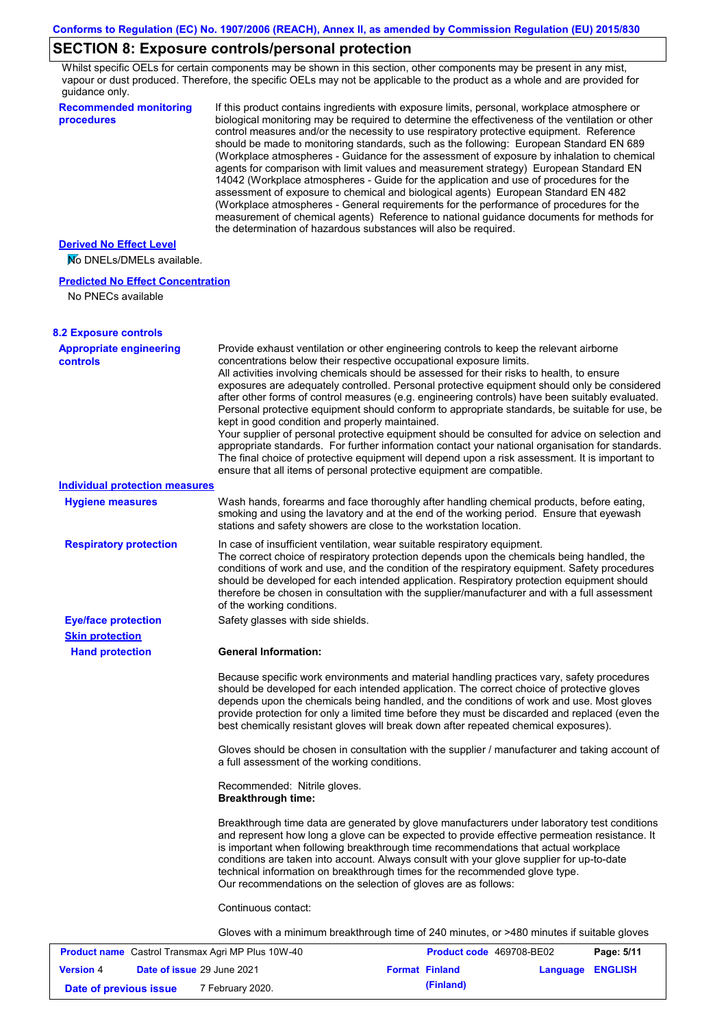# **SECTION 8: Exposure controls/personal protection**

Whilst specific OELs for certain components may be shown in this section, other components may be present in any mist, vapour or dust produced. Therefore, the specific OELs may not be applicable to the product as a whole and are provided for guidance only.

| <b>Recommended monitoring</b><br>procedures              | If this product contains ingredients with exposure limits, personal, workplace atmosphere or<br>biological monitoring may be required to determine the effectiveness of the ventilation or other<br>control measures and/or the necessity to use respiratory protective equipment. Reference<br>should be made to monitoring standards, such as the following: European Standard EN 689<br>(Workplace atmospheres - Guidance for the assessment of exposure by inhalation to chemical<br>agents for comparison with limit values and measurement strategy) European Standard EN<br>14042 (Workplace atmospheres - Guide for the application and use of procedures for the<br>assessment of exposure to chemical and biological agents) European Standard EN 482<br>(Workplace atmospheres - General requirements for the performance of procedures for the<br>measurement of chemical agents) Reference to national guidance documents for methods for<br>the determination of hazardous substances will also be required. |
|----------------------------------------------------------|----------------------------------------------------------------------------------------------------------------------------------------------------------------------------------------------------------------------------------------------------------------------------------------------------------------------------------------------------------------------------------------------------------------------------------------------------------------------------------------------------------------------------------------------------------------------------------------------------------------------------------------------------------------------------------------------------------------------------------------------------------------------------------------------------------------------------------------------------------------------------------------------------------------------------------------------------------------------------------------------------------------------------|
| <b>Derived No Effect Level</b>                           |                                                                                                                                                                                                                                                                                                                                                                                                                                                                                                                                                                                                                                                                                                                                                                                                                                                                                                                                                                                                                            |
| No DNELs/DMELs available.                                |                                                                                                                                                                                                                                                                                                                                                                                                                                                                                                                                                                                                                                                                                                                                                                                                                                                                                                                                                                                                                            |
| <b>Predicted No Effect Concentration</b>                 |                                                                                                                                                                                                                                                                                                                                                                                                                                                                                                                                                                                                                                                                                                                                                                                                                                                                                                                                                                                                                            |
| No PNECs available                                       |                                                                                                                                                                                                                                                                                                                                                                                                                                                                                                                                                                                                                                                                                                                                                                                                                                                                                                                                                                                                                            |
| <b>8.2 Exposure controls</b>                             |                                                                                                                                                                                                                                                                                                                                                                                                                                                                                                                                                                                                                                                                                                                                                                                                                                                                                                                                                                                                                            |
| <b>Appropriate engineering</b><br>controls               | Provide exhaust ventilation or other engineering controls to keep the relevant airborne<br>concentrations below their respective occupational exposure limits.<br>All activities involving chemicals should be assessed for their risks to health, to ensure<br>exposures are adequately controlled. Personal protective equipment should only be considered<br>after other forms of control measures (e.g. engineering controls) have been suitably evaluated.<br>Personal protective equipment should conform to appropriate standards, be suitable for use, be<br>kept in good condition and properly maintained.<br>Your supplier of personal protective equipment should be consulted for advice on selection and<br>appropriate standards. For further information contact your national organisation for standards.<br>The final choice of protective equipment will depend upon a risk assessment. It is important to<br>ensure that all items of personal protective equipment are compatible.                    |
| <b>Individual protection measures</b>                    |                                                                                                                                                                                                                                                                                                                                                                                                                                                                                                                                                                                                                                                                                                                                                                                                                                                                                                                                                                                                                            |
| <b>Hygiene measures</b>                                  | Wash hands, forearms and face thoroughly after handling chemical products, before eating,<br>smoking and using the lavatory and at the end of the working period. Ensure that eyewash<br>stations and safety showers are close to the workstation location.                                                                                                                                                                                                                                                                                                                                                                                                                                                                                                                                                                                                                                                                                                                                                                |
| <b>Respiratory protection</b>                            | In case of insufficient ventilation, wear suitable respiratory equipment.<br>The correct choice of respiratory protection depends upon the chemicals being handled, the<br>conditions of work and use, and the condition of the respiratory equipment. Safety procedures<br>should be developed for each intended application. Respiratory protection equipment should<br>therefore be chosen in consultation with the supplier/manufacturer and with a full assessment<br>of the working conditions.                                                                                                                                                                                                                                                                                                                                                                                                                                                                                                                      |
| <b>Eye/face protection</b>                               | Safety glasses with side shields.                                                                                                                                                                                                                                                                                                                                                                                                                                                                                                                                                                                                                                                                                                                                                                                                                                                                                                                                                                                          |
| <b>Skin protection</b>                                   |                                                                                                                                                                                                                                                                                                                                                                                                                                                                                                                                                                                                                                                                                                                                                                                                                                                                                                                                                                                                                            |
| <b>Hand protection</b>                                   | <b>General Information:</b>                                                                                                                                                                                                                                                                                                                                                                                                                                                                                                                                                                                                                                                                                                                                                                                                                                                                                                                                                                                                |
|                                                          | Because specific work environments and material handling practices vary, safety procedures<br>should be developed for each intended application. The correct choice of protective gloves<br>depends upon the chemicals being handled, and the conditions of work and use. Most gloves<br>provide protection for only a limited time before they must be discarded and replaced (even the<br>best chemically resistant gloves will break down after repeated chemical exposures).                                                                                                                                                                                                                                                                                                                                                                                                                                                                                                                                           |
|                                                          | Gloves should be chosen in consultation with the supplier / manufacturer and taking account of<br>a full assessment of the working conditions.                                                                                                                                                                                                                                                                                                                                                                                                                                                                                                                                                                                                                                                                                                                                                                                                                                                                             |
|                                                          | Recommended: Nitrile gloves.<br><b>Breakthrough time:</b>                                                                                                                                                                                                                                                                                                                                                                                                                                                                                                                                                                                                                                                                                                                                                                                                                                                                                                                                                                  |
|                                                          | Breakthrough time data are generated by glove manufacturers under laboratory test conditions<br>and represent how long a glove can be expected to provide effective permeation resistance. It<br>is important when following breakthrough time recommendations that actual workplace<br>conditions are taken into account. Always consult with your glove supplier for up-to-date<br>technical information on breakthrough times for the recommended glove type.<br>Our recommendations on the selection of gloves are as follows:                                                                                                                                                                                                                                                                                                                                                                                                                                                                                         |
|                                                          | Continuous contact:                                                                                                                                                                                                                                                                                                                                                                                                                                                                                                                                                                                                                                                                                                                                                                                                                                                                                                                                                                                                        |
|                                                          | Gloves with a minimum breakthrough time of 240 minutes, or >480 minutes if suitable gloves                                                                                                                                                                                                                                                                                                                                                                                                                                                                                                                                                                                                                                                                                                                                                                                                                                                                                                                                 |
| <b>Product name</b> Castrol Transmay Agri MP Plus 10W-40 | Product code 469708-RE02<br>Panc: 5/11                                                                                                                                                                                                                                                                                                                                                                                                                                                                                                                                                                                                                                                                                                                                                                                                                                                                                                                                                                                     |

| <b>Product name</b> Castrol Transmax Agri MP Plus 10W-40 |  |                                   | Product code 469708-BE02 |                       | Page: 5/11              |  |
|----------------------------------------------------------|--|-----------------------------------|--------------------------|-----------------------|-------------------------|--|
| <b>Version 4</b>                                         |  | <b>Date of issue 29 June 2021</b> |                          | <b>Format Finland</b> | <b>Language ENGLISH</b> |  |
| Date of previous issue                                   |  | 7 February 2020.                  |                          | (Finland)             |                         |  |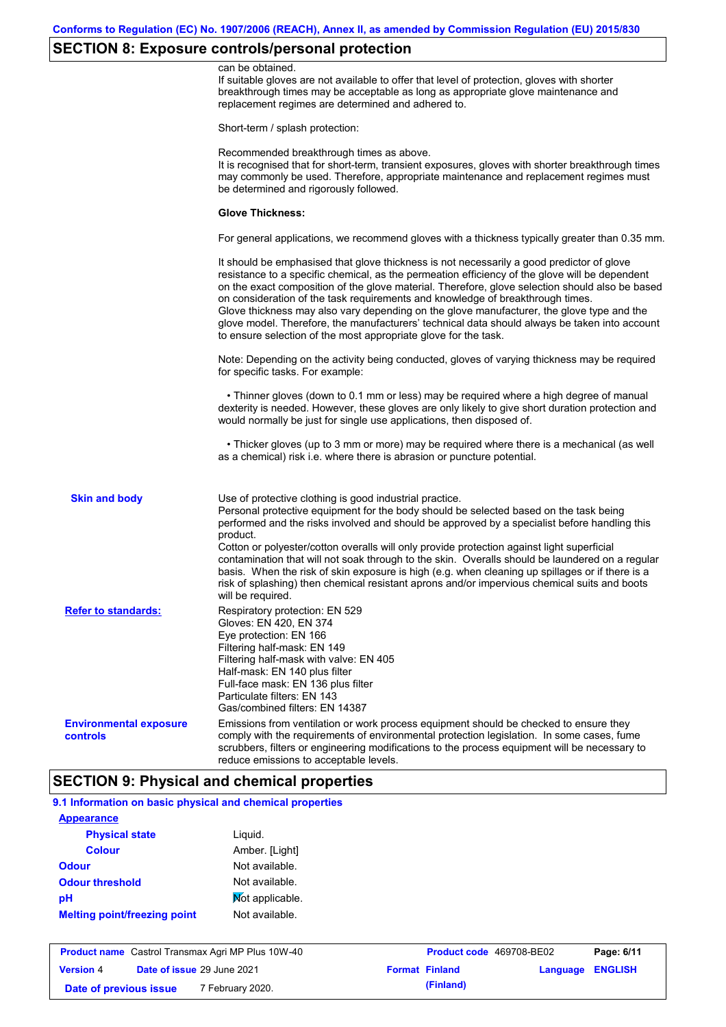# **SECTION 8: Exposure controls/personal protection**

|                                           | can be obtained.<br>If suitable gloves are not available to offer that level of protection, gloves with shorter<br>breakthrough times may be acceptable as long as appropriate glove maintenance and<br>replacement regimes are determined and adhered to.                                                                                                                                                                                                                                                                                                                                                                                                                            |
|-------------------------------------------|---------------------------------------------------------------------------------------------------------------------------------------------------------------------------------------------------------------------------------------------------------------------------------------------------------------------------------------------------------------------------------------------------------------------------------------------------------------------------------------------------------------------------------------------------------------------------------------------------------------------------------------------------------------------------------------|
|                                           | Short-term / splash protection:                                                                                                                                                                                                                                                                                                                                                                                                                                                                                                                                                                                                                                                       |
|                                           | Recommended breakthrough times as above.<br>It is recognised that for short-term, transient exposures, gloves with shorter breakthrough times<br>may commonly be used. Therefore, appropriate maintenance and replacement regimes must<br>be determined and rigorously followed.                                                                                                                                                                                                                                                                                                                                                                                                      |
|                                           | <b>Glove Thickness:</b>                                                                                                                                                                                                                                                                                                                                                                                                                                                                                                                                                                                                                                                               |
|                                           | For general applications, we recommend gloves with a thickness typically greater than 0.35 mm.                                                                                                                                                                                                                                                                                                                                                                                                                                                                                                                                                                                        |
|                                           | It should be emphasised that glove thickness is not necessarily a good predictor of glove<br>resistance to a specific chemical, as the permeation efficiency of the glove will be dependent<br>on the exact composition of the glove material. Therefore, glove selection should also be based<br>on consideration of the task requirements and knowledge of breakthrough times.<br>Glove thickness may also vary depending on the glove manufacturer, the glove type and the<br>glove model. Therefore, the manufacturers' technical data should always be taken into account<br>to ensure selection of the most appropriate glove for the task.                                     |
|                                           | Note: Depending on the activity being conducted, gloves of varying thickness may be required<br>for specific tasks. For example:                                                                                                                                                                                                                                                                                                                                                                                                                                                                                                                                                      |
|                                           | • Thinner gloves (down to 0.1 mm or less) may be required where a high degree of manual<br>dexterity is needed. However, these gloves are only likely to give short duration protection and<br>would normally be just for single use applications, then disposed of.                                                                                                                                                                                                                                                                                                                                                                                                                  |
|                                           | • Thicker gloves (up to 3 mm or more) may be required where there is a mechanical (as well<br>as a chemical) risk i.e. where there is abrasion or puncture potential.                                                                                                                                                                                                                                                                                                                                                                                                                                                                                                                 |
| <b>Skin and body</b>                      | Use of protective clothing is good industrial practice.<br>Personal protective equipment for the body should be selected based on the task being<br>performed and the risks involved and should be approved by a specialist before handling this<br>product.<br>Cotton or polyester/cotton overalls will only provide protection against light superficial<br>contamination that will not soak through to the skin. Overalls should be laundered on a regular<br>basis. When the risk of skin exposure is high (e.g. when cleaning up spillages or if there is a<br>risk of splashing) then chemical resistant aprons and/or impervious chemical suits and boots<br>will be required. |
| <b>Refer to standards:</b>                | Respiratory protection: EN 529<br>Gloves: EN 420, EN 374<br>Eye protection: EN 166<br>Filtering half-mask: EN 149<br>Filtering half-mask with valve: EN 405<br>Half-mask: EN 140 plus filter<br>Full-face mask: EN 136 plus filter<br>Particulate filters: EN 143<br>Gas/combined filters: EN 14387                                                                                                                                                                                                                                                                                                                                                                                   |
| <b>Environmental exposure</b><br>controls | Emissions from ventilation or work process equipment should be checked to ensure they<br>comply with the requirements of environmental protection legislation. In some cases, fume<br>scrubbers, filters or engineering modifications to the process equipment will be necessary to<br>reduce emissions to acceptable levels.                                                                                                                                                                                                                                                                                                                                                         |

# **9.1 Information on basic physical and chemical properties**

| <b>Appearance</b>                   |                 |
|-------------------------------------|-----------------|
| <b>Physical state</b>               | Liguid.         |
| <b>Colour</b>                       | Amber. [Light]  |
| <b>Odour</b>                        | Not available.  |
| <b>Odour threshold</b>              | Not available.  |
| рH                                  | Mot applicable. |
| <b>Melting point/freezing point</b> | Not available.  |

| <b>Product name</b> Castrol Transmax Agri MP Plus 10W-40 |  |                                   | <b>Product code</b> 469708-BE02 |                       | Page: 6/11       |  |
|----------------------------------------------------------|--|-----------------------------------|---------------------------------|-----------------------|------------------|--|
| <b>Version 4</b>                                         |  | <b>Date of issue 29 June 2021</b> |                                 | <b>Format Finland</b> | Language ENGLISH |  |
| Date of previous issue                                   |  | <sup>7</sup> February 2020.       |                                 | (Finland)             |                  |  |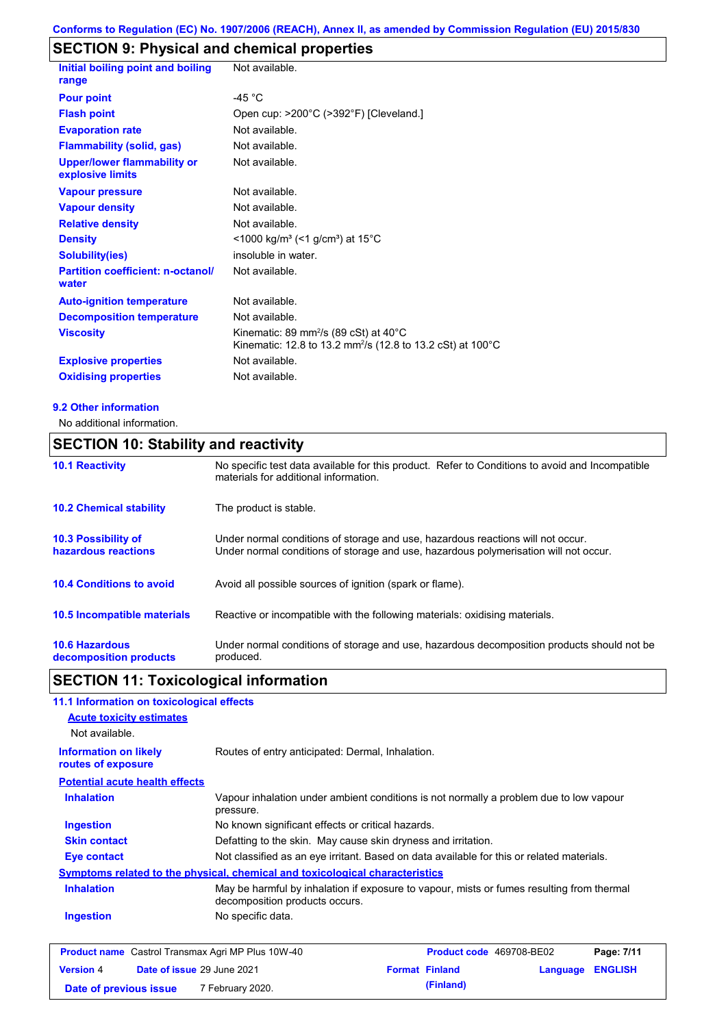# **SECTION 9: Physical and chemical properties**

| Initial boiling point and boiling<br>range             | Not available.                                                                                                               |
|--------------------------------------------------------|------------------------------------------------------------------------------------------------------------------------------|
| <b>Pour point</b>                                      | $-45 °C$                                                                                                                     |
| <b>Flash point</b>                                     | Open cup: >200°C (>392°F) [Cleveland.]                                                                                       |
| <b>Evaporation rate</b>                                | Not available.                                                                                                               |
| <b>Flammability (solid, gas)</b>                       | Not available.                                                                                                               |
| <b>Upper/lower flammability or</b><br>explosive limits | Not available.                                                                                                               |
| <b>Vapour pressure</b>                                 | Not available.                                                                                                               |
| <b>Vapour density</b>                                  | Not available.                                                                                                               |
| <b>Relative density</b>                                | Not available.                                                                                                               |
| <b>Density</b>                                         | $<$ 1000 kg/m <sup>3</sup> (<1 g/cm <sup>3</sup> ) at 15 <sup>°</sup> C                                                      |
| <b>Solubility(ies)</b>                                 | insoluble in water.                                                                                                          |
| <b>Partition coefficient: n-octanol/</b><br>water      | Not available.                                                                                                               |
| <b>Auto-ignition temperature</b>                       | Not available.                                                                                                               |
| <b>Decomposition temperature</b>                       | Not available.                                                                                                               |
| <b>Viscosity</b>                                       | Kinematic: 89 mm <sup>2</sup> /s (89 cSt) at 40°C<br>Kinematic: 12.8 to 13.2 mm <sup>2</sup> /s (12.8 to 13.2 cSt) at 100 °C |
| <b>Explosive properties</b>                            | Not available.                                                                                                               |
| <b>Oxidising properties</b>                            | Not available.                                                                                                               |
|                                                        |                                                                                                                              |

#### **9.2 Other information**

No additional information.

# **SECTION 10: Stability and reactivity**

| <b>10.1 Reactivity</b>                            | No specific test data available for this product. Refer to Conditions to avoid and Incompatible<br>materials for additional information.                                |
|---------------------------------------------------|-------------------------------------------------------------------------------------------------------------------------------------------------------------------------|
| <b>10.2 Chemical stability</b>                    | The product is stable.                                                                                                                                                  |
| <b>10.3 Possibility of</b><br>hazardous reactions | Under normal conditions of storage and use, hazardous reactions will not occur.<br>Under normal conditions of storage and use, hazardous polymerisation will not occur. |
| <b>10.4 Conditions to avoid</b>                   | Avoid all possible sources of ignition (spark or flame).                                                                                                                |
| <b>10.5 Incompatible materials</b>                | Reactive or incompatible with the following materials: oxidising materials.                                                                                             |
| <b>10.6 Hazardous</b><br>decomposition products   | Under normal conditions of storage and use, hazardous decomposition products should not be<br>produced.                                                                 |

# **SECTION 11: Toxicological information**

| 11.1 Information on toxicological effects          |                                                                                                                             |
|----------------------------------------------------|-----------------------------------------------------------------------------------------------------------------------------|
| <b>Acute toxicity estimates</b>                    |                                                                                                                             |
| Not available.                                     |                                                                                                                             |
| <b>Information on likely</b><br>routes of exposure | Routes of entry anticipated: Dermal, Inhalation.                                                                            |
| <b>Potential acute health effects</b>              |                                                                                                                             |
| <b>Inhalation</b>                                  | Vapour inhalation under ambient conditions is not normally a problem due to low vapour<br>pressure.                         |
| Ingestion                                          | No known significant effects or critical hazards.                                                                           |
| <b>Skin contact</b>                                | Defatting to the skin. May cause skin dryness and irritation.                                                               |
| Eye contact                                        | Not classified as an eye irritant. Based on data available for this or related materials.                                   |
|                                                    | Symptoms related to the physical, chemical and toxicological characteristics                                                |
| <b>Inhalation</b>                                  | May be harmful by inhalation if exposure to vapour, mists or fumes resulting from thermal<br>decomposition products occurs. |
| <b>Ingestion</b>                                   | No specific data.                                                                                                           |
|                                                    |                                                                                                                             |

|                        | <b>Product name</b> Castrol Transmax Agri MP Plus 10W-40 | <b>Product code</b> 469708-BE02 |                         | Page: 7/11 |
|------------------------|----------------------------------------------------------|---------------------------------|-------------------------|------------|
| <b>Version</b> 4       | <b>Date of issue 29 June 2021</b>                        | <b>Format Finland</b>           | <b>Language ENGLISH</b> |            |
| Date of previous issue | 7 February 2020.                                         | (Finland)                       |                         |            |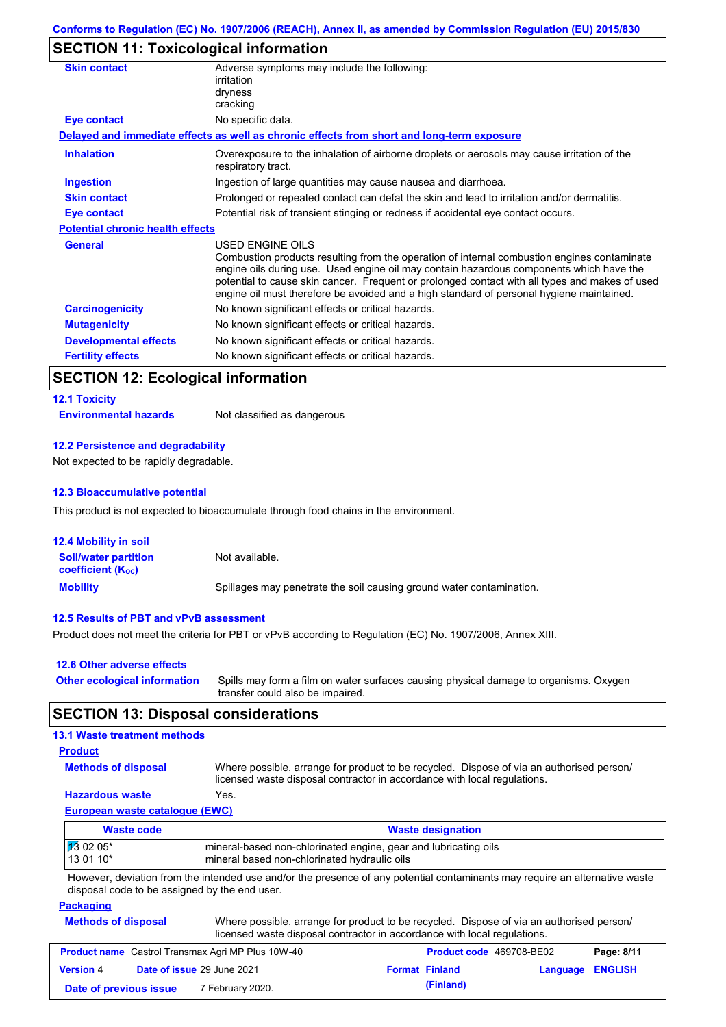# **SECTION 11: Toxicological information**

| <b>Skin contact</b>                     | Adverse symptoms may include the following:<br>irritation<br>dryness<br>cracking                                                                                                                                                                                                                                                                                                                         |  |
|-----------------------------------------|----------------------------------------------------------------------------------------------------------------------------------------------------------------------------------------------------------------------------------------------------------------------------------------------------------------------------------------------------------------------------------------------------------|--|
| Eye contact                             | No specific data.                                                                                                                                                                                                                                                                                                                                                                                        |  |
|                                         | Delayed and immediate effects as well as chronic effects from short and long-term exposure                                                                                                                                                                                                                                                                                                               |  |
| <b>Inhalation</b>                       | Overexposure to the inhalation of airborne droplets or aerosols may cause irritation of the<br>respiratory tract.                                                                                                                                                                                                                                                                                        |  |
| <b>Ingestion</b>                        | Ingestion of large quantities may cause nausea and diarrhoea.                                                                                                                                                                                                                                                                                                                                            |  |
| <b>Skin contact</b>                     | Prolonged or repeated contact can defat the skin and lead to irritation and/or dermatitis.                                                                                                                                                                                                                                                                                                               |  |
| Eye contact                             | Potential risk of transient stinging or redness if accidental eye contact occurs.                                                                                                                                                                                                                                                                                                                        |  |
| <b>Potential chronic health effects</b> |                                                                                                                                                                                                                                                                                                                                                                                                          |  |
| <b>General</b>                          | USED ENGINE OILS<br>Combustion products resulting from the operation of internal combustion engines contaminate<br>engine oils during use. Used engine oil may contain hazardous components which have the<br>potential to cause skin cancer. Frequent or prolonged contact with all types and makes of used<br>engine oil must therefore be avoided and a high standard of personal hygiene maintained. |  |
| <b>Carcinogenicity</b>                  | No known significant effects or critical hazards.                                                                                                                                                                                                                                                                                                                                                        |  |
| <b>Mutagenicity</b>                     | No known significant effects or critical hazards.                                                                                                                                                                                                                                                                                                                                                        |  |
| <b>Developmental effects</b>            | No known significant effects or critical hazards.                                                                                                                                                                                                                                                                                                                                                        |  |
| <b>Fertility effects</b>                | No known significant effects or critical hazards.                                                                                                                                                                                                                                                                                                                                                        |  |

# **SECTION 12: Ecological information**

#### **12.1 Toxicity**

**Environmental hazards** Not classified as dangerous

#### **12.2 Persistence and degradability**

Not expected to be rapidly degradable.

#### **12.3 Bioaccumulative potential**

This product is not expected to bioaccumulate through food chains in the environment.

| <b>12.4 Mobility in soil</b>                            |                                                                      |
|---------------------------------------------------------|----------------------------------------------------------------------|
| <b>Soil/water partition</b><br><b>coefficient (Koc)</b> | Not available.                                                       |
| <b>Mobility</b>                                         | Spillages may penetrate the soil causing ground water contamination. |

#### **12.5 Results of PBT and vPvB assessment**

Product does not meet the criteria for PBT or vPvB according to Regulation (EC) No. 1907/2006, Annex XIII.

| 12.6 Other adverse effects          |                                                                                                                           |
|-------------------------------------|---------------------------------------------------------------------------------------------------------------------------|
| <b>Other ecological information</b> | Spills may form a film on water surfaces causing physical damage to organisms. Oxygen<br>transfer could also be impaired. |

### **SECTION 13: Disposal considerations**

### **13.1 Waste treatment methods**

### **Product**

**Methods of disposal**

Where possible, arrange for product to be recycled. Dispose of via an authorised person/

### **Hazardous waste** Yes.

licensed waste disposal contractor in accordance with local regulations.

## **European waste catalogue (EWC)**

| <b>Waste code</b>    | <b>Waste designation</b>                                        |  |
|----------------------|-----------------------------------------------------------------|--|
| $\frac{1}{3}$ 02 05* | mineral-based non-chlorinated engine, gear and lubricating oils |  |
| 13 01 10*            | mineral based non-chlorinated hydraulic oils                    |  |

However, deviation from the intended use and/or the presence of any potential contaminants may require an alternative waste disposal code to be assigned by the end user.

#### **Packaging**

| <b>Methods of disposal</b> | Where possible, arrange for product to be recycled. Dispose of via an authorised person/ |
|----------------------------|------------------------------------------------------------------------------------------|
|                            | licensed waste disposal contractor in accordance with local regulations.                 |

|                        | <b>Product name</b> Castrol Transmax Agri MP Plus 10W-40 | <b>Product code</b> 469708-BE02 |                  | Page: 8/11 |
|------------------------|----------------------------------------------------------|---------------------------------|------------------|------------|
| <b>Version 4</b>       | <b>Date of issue 29 June 2021</b>                        | <b>Format Finland</b>           | Language ENGLISH |            |
| Date of previous issue | 7 February 2020.                                         | (Finland)                       |                  |            |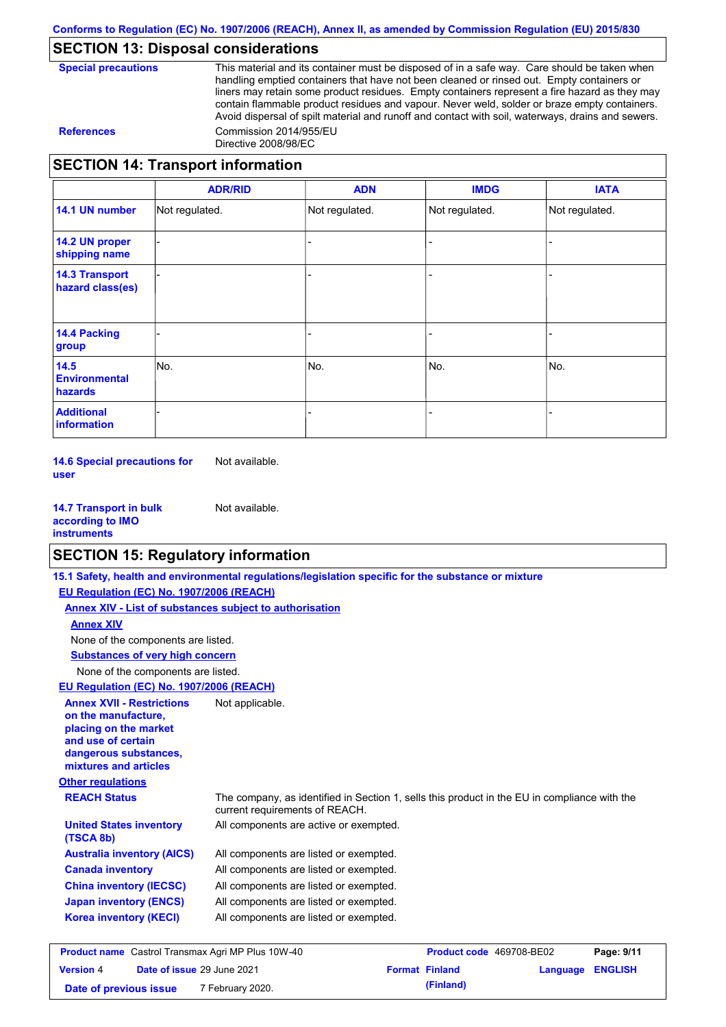### **SECTION 13: Disposal considerations**

| <b>Special precautions</b> |
|----------------------------|
|----------------------------|

This material and its container must be disposed of in a safe way. Care should be taken when handling emptied containers that have not been cleaned or rinsed out. Empty containers or liners may retain some product residues. Empty containers represent a fire hazard as they may contain flammable product residues and vapour. Never weld, solder or braze empty containers. Avoid dispersal of spilt material and runoff and contact with soil, waterways, drains and sewers. **References** Commission 2014/955/EU Directive 2008/98/EC

### **SECTION 14: Transport information**

|                                           | <b>ADR/RID</b> | <b>ADN</b>     | <b>IMDG</b>    | <b>IATA</b>    |
|-------------------------------------------|----------------|----------------|----------------|----------------|
| 14.1 UN number                            | Not regulated. | Not regulated. | Not regulated. | Not regulated. |
| 14.2 UN proper<br>shipping name           |                |                |                |                |
| <b>14.3 Transport</b><br>hazard class(es) |                |                |                |                |
| <b>14.4 Packing</b><br>group              |                |                |                |                |
| 14.5<br><b>Environmental</b><br>hazards   | No.            | No.            | No.            | No.            |
| <b>Additional</b><br>information          |                |                |                |                |

**14.6 Special precautions for user** Not available.

**14.7 Transport in bulk according to IMO instruments** Not available.

### **SECTION 15: Regulatory information**

|                                                                                                                                                          | 15.1 Safety, health and environmental regulations/legislation specific for the substance or mixture                            |                          |          |                |
|----------------------------------------------------------------------------------------------------------------------------------------------------------|--------------------------------------------------------------------------------------------------------------------------------|--------------------------|----------|----------------|
| EU Regulation (EC) No. 1907/2006 (REACH)                                                                                                                 |                                                                                                                                |                          |          |                |
| Annex XIV - List of substances subject to authorisation                                                                                                  |                                                                                                                                |                          |          |                |
| <b>Annex XIV</b>                                                                                                                                         |                                                                                                                                |                          |          |                |
| None of the components are listed.                                                                                                                       |                                                                                                                                |                          |          |                |
| <b>Substances of very high concern</b>                                                                                                                   |                                                                                                                                |                          |          |                |
| None of the components are listed.                                                                                                                       |                                                                                                                                |                          |          |                |
| EU Regulation (EC) No. 1907/2006 (REACH)                                                                                                                 |                                                                                                                                |                          |          |                |
| <b>Annex XVII - Restrictions</b><br>on the manufacture.<br>placing on the market<br>and use of certain<br>dangerous substances,<br>mixtures and articles | Not applicable.                                                                                                                |                          |          |                |
| <b>Other regulations</b>                                                                                                                                 |                                                                                                                                |                          |          |                |
| <b>REACH Status</b>                                                                                                                                      | The company, as identified in Section 1, sells this product in the EU in compliance with the<br>current requirements of REACH. |                          |          |                |
| <b>United States inventory</b><br>(TSCA 8b)                                                                                                              | All components are active or exempted.                                                                                         |                          |          |                |
| <b>Australia inventory (AICS)</b>                                                                                                                        | All components are listed or exempted.                                                                                         |                          |          |                |
| <b>Canada inventory</b>                                                                                                                                  | All components are listed or exempted.                                                                                         |                          |          |                |
| <b>China inventory (IECSC)</b>                                                                                                                           | All components are listed or exempted.                                                                                         |                          |          |                |
| <b>Japan inventory (ENCS)</b>                                                                                                                            | All components are listed or exempted.                                                                                         |                          |          |                |
| <b>Korea inventory (KECI)</b>                                                                                                                            | All components are listed or exempted.                                                                                         |                          |          |                |
| <b>Product name</b> Castrol Transmax Agri MP Plus 10W-40                                                                                                 |                                                                                                                                | Product code 469708-BE02 |          | Page: 9/11     |
| Date of issue 29 June 2021<br><b>Version 4</b>                                                                                                           |                                                                                                                                | <b>Format Finland</b>    | Language | <b>ENGLISH</b> |

**Date of previous issue (Finland)** 7 February 2020.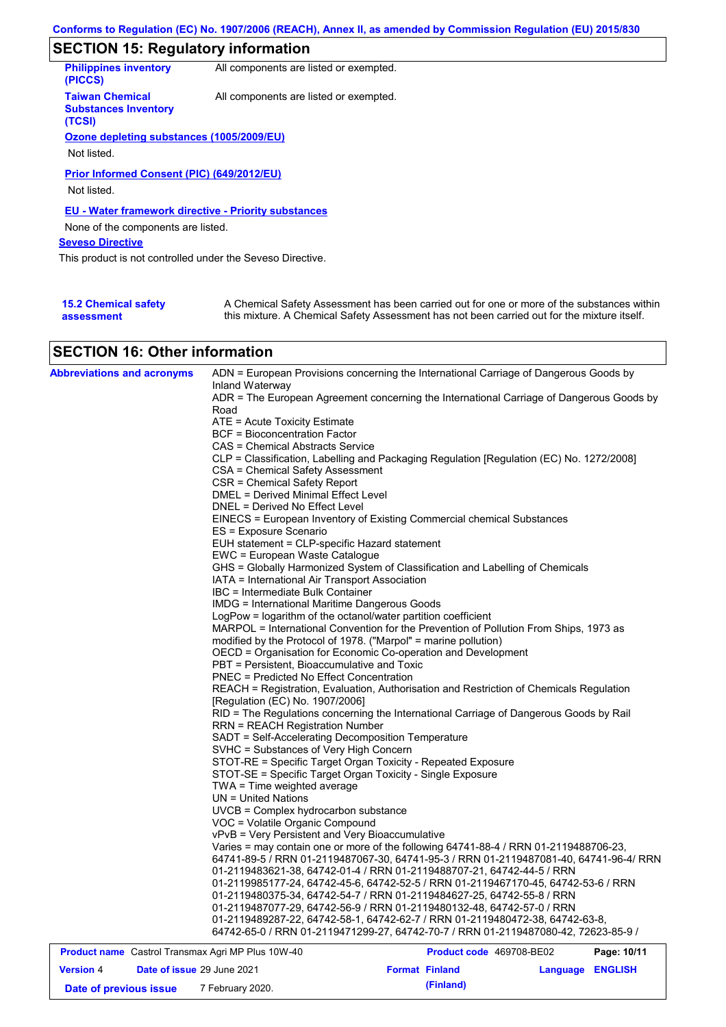# **SECTION 15: Regulatory information**

| <b>Philippines inventory</b><br>(PICCS)                         | All components are listed or exempted. |
|-----------------------------------------------------------------|----------------------------------------|
| <b>Taiwan Chemical</b><br><b>Substances Inventory</b><br>(TCSI) | All components are listed or exempted. |
| Ozone depleting substances (1005/2009/EU)                       |                                        |
|                                                                 |                                        |
| Not listed.                                                     |                                        |
| Prior Informed Consent (PIC) (649/2012/EU)<br>Not listed.       |                                        |
| <b>EU - Water framework directive - Priority substances</b>     |                                        |
| None of the components are listed.                              |                                        |
| <b>Seveso Directive</b>                                         |                                        |
| This product is not controlled under the Seveso Directive.      |                                        |
|                                                                 |                                        |
|                                                                 |                                        |

| <b>15.2 Chemical safety</b> | A Chemical Safety Assessment has been carried out for one or more of the substances within  |
|-----------------------------|---------------------------------------------------------------------------------------------|
| assessment                  | this mixture. A Chemical Safety Assessment has not been carried out for the mixture itself. |

## **SECTION 16: Other information**

| <b>Abbreviations and acronyms</b>                        | Inland Waterway                                      | ADN = European Provisions concerning the International Carriage of Dangerous Goods by    |             |
|----------------------------------------------------------|------------------------------------------------------|------------------------------------------------------------------------------------------|-------------|
|                                                          |                                                      | ADR = The European Agreement concerning the International Carriage of Dangerous Goods by |             |
|                                                          | Road                                                 |                                                                                          |             |
|                                                          | ATE = Acute Toxicity Estimate                        |                                                                                          |             |
|                                                          | BCF = Bioconcentration Factor                        |                                                                                          |             |
|                                                          | CAS = Chemical Abstracts Service                     |                                                                                          |             |
|                                                          |                                                      | CLP = Classification, Labelling and Packaging Regulation [Regulation (EC) No. 1272/2008] |             |
|                                                          | CSA = Chemical Safety Assessment                     |                                                                                          |             |
|                                                          | CSR = Chemical Safety Report                         |                                                                                          |             |
|                                                          | DMEL = Derived Minimal Effect Level                  |                                                                                          |             |
|                                                          | DNEL = Derived No Effect Level                       |                                                                                          |             |
|                                                          |                                                      | EINECS = European Inventory of Existing Commercial chemical Substances                   |             |
|                                                          | ES = Exposure Scenario                               |                                                                                          |             |
|                                                          | EUH statement = CLP-specific Hazard statement        |                                                                                          |             |
|                                                          | EWC = European Waste Catalogue                       |                                                                                          |             |
|                                                          |                                                      | GHS = Globally Harmonized System of Classification and Labelling of Chemicals            |             |
|                                                          | IATA = International Air Transport Association       |                                                                                          |             |
|                                                          | IBC = Intermediate Bulk Container                    |                                                                                          |             |
|                                                          | <b>IMDG = International Maritime Dangerous Goods</b> |                                                                                          |             |
|                                                          |                                                      | LogPow = logarithm of the octanol/water partition coefficient                            |             |
|                                                          |                                                      | MARPOL = International Convention for the Prevention of Pollution From Ships, 1973 as    |             |
|                                                          |                                                      | modified by the Protocol of 1978. ("Marpol" = marine pollution)                          |             |
|                                                          |                                                      | OECD = Organisation for Economic Co-operation and Development                            |             |
|                                                          | PBT = Persistent, Bioaccumulative and Toxic          |                                                                                          |             |
|                                                          | <b>PNEC = Predicted No Effect Concentration</b>      |                                                                                          |             |
|                                                          |                                                      | REACH = Registration, Evaluation, Authorisation and Restriction of Chemicals Regulation  |             |
|                                                          | [Regulation (EC) No. 1907/2006]                      |                                                                                          |             |
|                                                          |                                                      | RID = The Regulations concerning the International Carriage of Dangerous Goods by Rail   |             |
|                                                          | <b>RRN = REACH Registration Number</b>               |                                                                                          |             |
|                                                          | SADT = Self-Accelerating Decomposition Temperature   |                                                                                          |             |
|                                                          | SVHC = Substances of Very High Concern               |                                                                                          |             |
|                                                          |                                                      | STOT-RE = Specific Target Organ Toxicity - Repeated Exposure                             |             |
|                                                          |                                                      | STOT-SE = Specific Target Organ Toxicity - Single Exposure                               |             |
|                                                          | TWA = Time weighted average                          |                                                                                          |             |
|                                                          | $UN = United Nations$                                |                                                                                          |             |
|                                                          | UVCB = Complex hydrocarbon substance                 |                                                                                          |             |
|                                                          | VOC = Volatile Organic Compound                      |                                                                                          |             |
|                                                          | vPvB = Very Persistent and Very Bioaccumulative      |                                                                                          |             |
|                                                          |                                                      | Varies = may contain one or more of the following 64741-88-4 / RRN 01-2119488706-23,     |             |
|                                                          |                                                      | 64741-89-5 / RRN 01-2119487067-30, 64741-95-3 / RRN 01-2119487081-40, 64741-96-4/ RRN    |             |
|                                                          |                                                      | 01-2119483621-38, 64742-01-4 / RRN 01-2119488707-21, 64742-44-5 / RRN                    |             |
|                                                          |                                                      | 01-2119985177-24, 64742-45-6, 64742-52-5 / RRN 01-2119467170-45, 64742-53-6 / RRN        |             |
|                                                          |                                                      | 01-2119480375-34, 64742-54-7 / RRN 01-2119484627-25, 64742-55-8 / RRN                    |             |
|                                                          |                                                      | 01-2119487077-29, 64742-56-9 / RRN 01-2119480132-48, 64742-57-0 / RRN                    |             |
|                                                          |                                                      | 01-2119489287-22, 64742-58-1, 64742-62-7 / RRN 01-2119480472-38, 64742-63-8,             |             |
|                                                          |                                                      | 64742-65-0 / RRN 01-2119471299-27, 64742-70-7 / RRN 01-2119487080-42, 72623-85-9 /       |             |
| <b>Product name</b> Castrol Transmax Agri MP Plus 10W-40 |                                                      | <b>Product code</b> 469708-BE02                                                          | Page: 10/11 |

|                        | <b>Product name</b> Castrol Transmax Agri MP Plus 10W-40 |  | Product code 469708-BE02 |                  | Page: 10/11 |
|------------------------|----------------------------------------------------------|--|--------------------------|------------------|-------------|
| <b>Version 4</b>       | Date of issue 29 June 2021                               |  | <b>Format Finland</b>    | Language ENGLISH |             |
| Date of previous issue | 7 February 2020.                                         |  | (Finland)                |                  |             |